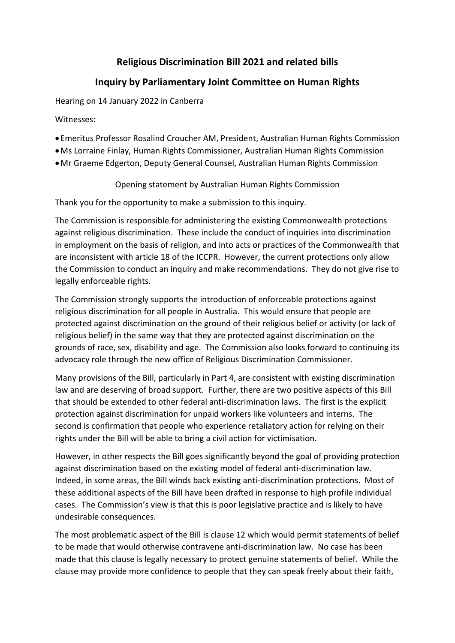## **Religious Discrimination Bill 2021 and related bills**

## **Inquiry by Parliamentary Joint Committee on Human Rights**

Hearing on 14 January 2022 in Canberra

Witnesses:

- Emeritus Professor Rosalind Croucher AM, President, Australian Human Rights Commission
- •Ms Lorraine Finlay, Human Rights Commissioner, Australian Human Rights Commission
- •Mr Graeme Edgerton, Deputy General Counsel, Australian Human Rights Commission

Opening statement by Australian Human Rights Commission

Thank you for the opportunity to make a submission to this inquiry.

The Commission is responsible for administering the existing Commonwealth protections against religious discrimination. These include the conduct of inquiries into discrimination in employment on the basis of religion, and into acts or practices of the Commonwealth that are inconsistent with article 18 of the ICCPR. However, the current protections only allow the Commission to conduct an inquiry and make recommendations. They do not give rise to legally enforceable rights.

The Commission strongly supports the introduction of enforceable protections against religious discrimination for all people in Australia. This would ensure that people are protected against discrimination on the ground of their religious belief or activity (or lack of religious belief) in the same way that they are protected against discrimination on the grounds of race, sex, disability and age. The Commission also looks forward to continuing its advocacy role through the new office of Religious Discrimination Commissioner.

Many provisions of the Bill, particularly in Part 4, are consistent with existing discrimination law and are deserving of broad support. Further, there are two positive aspects of this Bill that should be extended to other federal anti-discrimination laws. The first is the explicit protection against discrimination for unpaid workers like volunteers and interns. The second is confirmation that people who experience retaliatory action for relying on their rights under the Bill will be able to bring a civil action for victimisation.

However, in other respects the Bill goes significantly beyond the goal of providing protection against discrimination based on the existing model of federal anti-discrimination law. Indeed, in some areas, the Bill winds back existing anti-discrimination protections. Most of these additional aspects of the Bill have been drafted in response to high profile individual cases. The Commission's view is that this is poor legislative practice and is likely to have undesirable consequences.

The most problematic aspect of the Bill is clause 12 which would permit statements of belief to be made that would otherwise contravene anti-discrimination law. No case has been made that this clause is legally necessary to protect genuine statements of belief. While the clause may provide more confidence to people that they can speak freely about their faith,